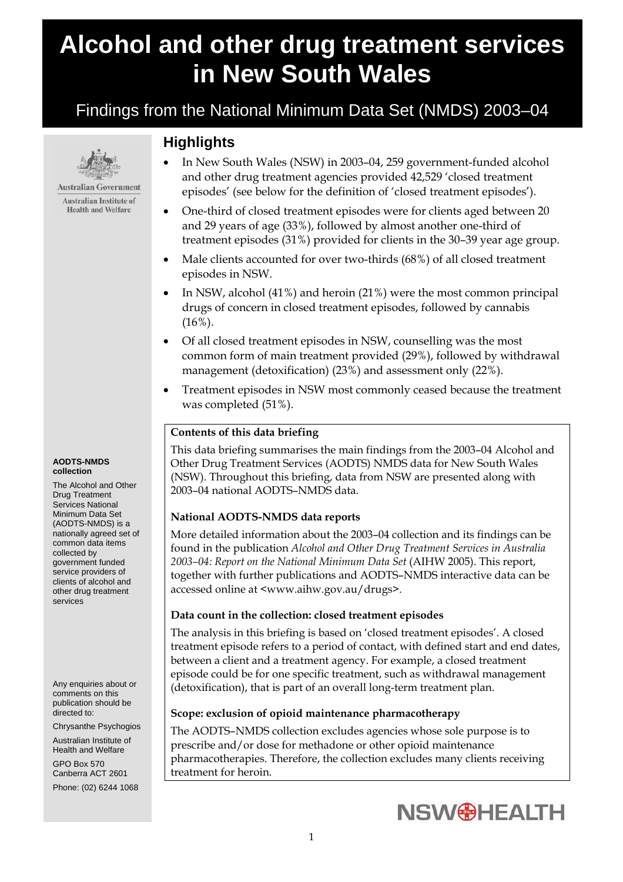# **Alcohol and other drug treatment services in New South Wales**

# Findings from the National Minimum Data Set (NMDS) 2003–04



**Australian Government Australian Institute of Health and Welfare** 

#### **AODTS-NMDS collection**

The Alcohol and Other Drug Treatment Services National Minimum Data Set (AODTS-NMDS) is a nationally agreed set of common data items collected by government funded service providers of clients of alcohol and other drug treatment services

Any enquiries about or comments on this publication should be directed to:

Chrysanthe Psychogios

Australian Institute of Health and Welfare GPO Box 570 Canberra ACT 2601 Phone: (02) 6244 1068

# **Highlights**

- In New South Wales (NSW) in 2003–04, 259 government-funded alcohol and other drug treatment agencies provided 42,529 'closed treatment episodes' (see below for the definition of 'closed treatment episodes').
- One-third of closed treatment episodes were for clients aged between 20 and 29 years of age (33%), followed by almost another one-third of treatment episodes (31%) provided for clients in the 30–39 year age group.
- Male clients accounted for over two-thirds (68%) of all closed treatment episodes in NSW.
- In NSW, alcohol (41%) and heroin (21%) were the most common principal drugs of concern in closed treatment episodes, followed by cannabis (16%).
- Of all closed treatment episodes in NSW, counselling was the most common form of main treatment provided (29%), followed by withdrawal management (detoxification) (23%) and assessment only (22%).
- Treatment episodes in NSW most commonly ceased because the treatment was completed (51%).

# **Contents of this data briefing**

This data briefing summarises the main findings from the 2003–04 Alcohol and Other Drug Treatment Services (AODTS) NMDS data for New South Wales (NSW). Throughout this briefing, data from NSW are presented along with 2003–04 national AODTS–NMDS data.

# **National AODTS-NMDS data reports**

More detailed information about the 2003–04 collection and its findings can be found in the publication *Alcohol and Other Drug Treatment Services in Australia 2003–04: Report on the National Minimum Data Set* (AIHW 2005). This report, together with further publications and AODTS–NMDS interactive data can be accessed online at <www.aihw.gov.au/drugs>.

# **Data count in the collection: closed treatment episodes**

The analysis in this briefing is based on 'closed treatment episodes'. A closed treatment episode refers to a period of contact, with defined start and end dates, between a client and a treatment agency. For example, a closed treatment episode could be for one specific treatment, such as withdrawal management (detoxification), that is part of an overall long-term treatment plan.

# **Scope: exclusion of opioid maintenance pharmacotherapy**

The AODTS–NMDS collection excludes agencies whose sole purpose is to prescribe and/or dose for methadone or other opioid maintenance pharmacotherapies. Therefore, the collection excludes many clients receiving treatment for heroin.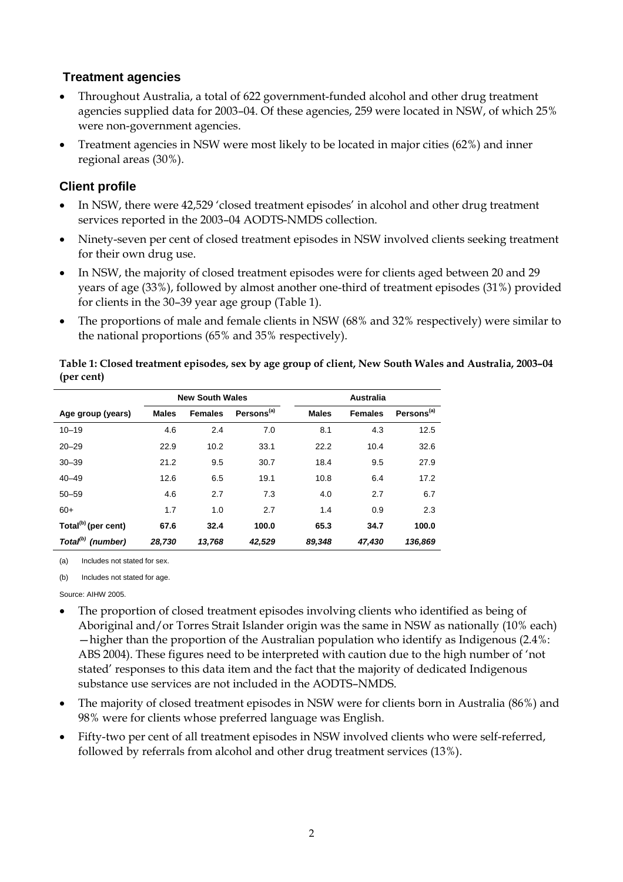# **Treatment agencies**

- Throughout Australia, a total of 622 government-funded alcohol and other drug treatment agencies supplied data for 2003–04. Of these agencies, 259 were located in NSW, of which 25% were non-government agencies.
- Treatment agencies in NSW were most likely to be located in major cities (62%) and inner regional areas (30%).

# **Client profile**

- In NSW, there were 42,529 'closed treatment episodes' in alcohol and other drug treatment services reported in the 2003–04 AODTS-NMDS collection.
- Ninety-seven per cent of closed treatment episodes in NSW involved clients seeking treatment for their own drug use.
- In NSW, the majority of closed treatment episodes were for clients aged between 20 and 29 years of age (33%), followed by almost another one-third of treatment episodes (31%) provided for clients in the 30–39 year age group (Table 1).
- The proportions of male and female clients in NSW (68% and 32% respectively) were similar to the national proportions (65% and 35% respectively).

#### **Table 1: Closed treatment episodes, sex by age group of client, New South Wales and Australia, 2003–04 (per cent)**

|                                 | <b>New South Wales</b> |                |                        |              | <b>Australia</b> |                        |  |  |
|---------------------------------|------------------------|----------------|------------------------|--------------|------------------|------------------------|--|--|
| Age group (years)               | <b>Males</b>           | <b>Females</b> | Persons <sup>(a)</sup> | <b>Males</b> | <b>Females</b>   | Persons <sup>(a)</sup> |  |  |
| $10 - 19$                       | 4.6                    | 2.4            | 7.0                    | 8.1          | 4.3              | 12.5                   |  |  |
| $20 - 29$                       | 22.9                   | 10.2           | 33.1                   | 22.2         | 10.4             | 32.6                   |  |  |
| $30 - 39$                       | 21.2                   | 9.5            | 30.7                   | 18.4         | 9.5              | 27.9                   |  |  |
| $40 - 49$                       | 12.6                   | 6.5            | 19.1                   | 10.8         | 6.4              | 17.2                   |  |  |
| $50 - 59$                       | 4.6                    | 2.7            | 7.3                    | 4.0          | 2.7              | 6.7                    |  |  |
| $60+$                           | 1.7                    | 1.0            | 2.7                    | 1.4          | 0.9              | 2.3                    |  |  |
| Total <sup>(b)</sup> (per cent) | 67.6                   | 32.4           | 100.0                  | 65.3         | 34.7             | 100.0                  |  |  |
| Total <sup>(b)</sup> (number)   | 28.730                 | 13.768         | 42.529                 | 89.348       | 47.430           | 136.869                |  |  |

(a) Includes not stated for sex.

(b) Includes not stated for age.

Source: AIHW 2005.

- The proportion of closed treatment episodes involving clients who identified as being of Aboriginal and/or Torres Strait Islander origin was the same in NSW as nationally (10% each) —higher than the proportion of the Australian population who identify as Indigenous (2.4%: ABS 2004). These figures need to be interpreted with caution due to the high number of 'not stated' responses to this data item and the fact that the majority of dedicated Indigenous substance use services are not included in the AODTS–NMDS.
- The majority of closed treatment episodes in NSW were for clients born in Australia (86%) and 98% were for clients whose preferred language was English.
- Fifty-two per cent of all treatment episodes in NSW involved clients who were self-referred, followed by referrals from alcohol and other drug treatment services (13%).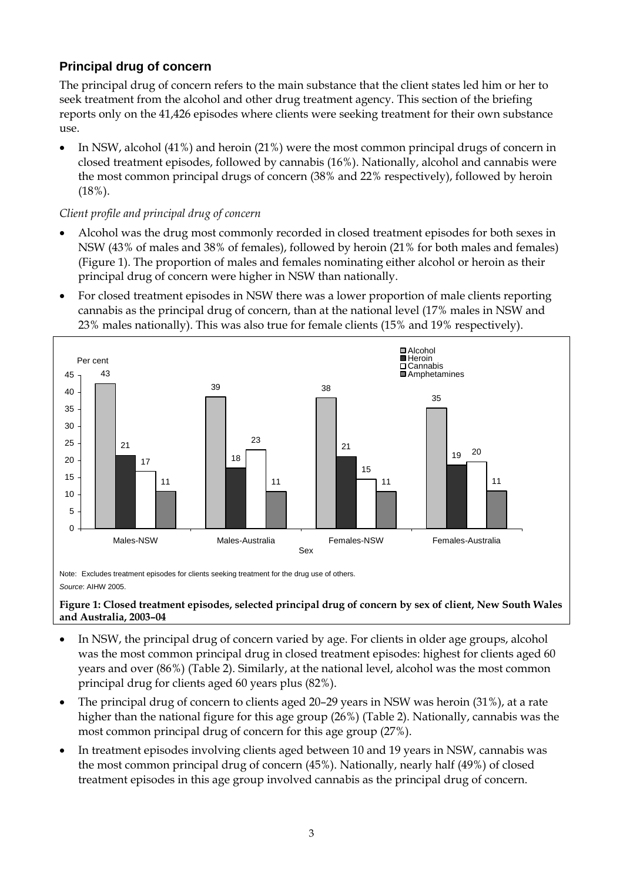# **Principal drug of concern**

The principal drug of concern refers to the main substance that the client states led him or her to seek treatment from the alcohol and other drug treatment agency. This section of the briefing reports only on the 41,426 episodes where clients were seeking treatment for their own substance use.

• In NSW, alcohol (41%) and heroin (21%) were the most common principal drugs of concern in closed treatment episodes, followed by cannabis (16%). Nationally, alcohol and cannabis were the most common principal drugs of concern (38% and 22% respectively), followed by heroin (18%).

# *Client profile and principal drug of concern*

- Alcohol was the drug most commonly recorded in closed treatment episodes for both sexes in NSW (43% of males and 38% of females), followed by heroin (21% for both males and females) (Figure 1). The proportion of males and females nominating either alcohol or heroin as their principal drug of concern were higher in NSW than nationally.
- For closed treatment episodes in NSW there was a lower proportion of male clients reporting cannabis as the principal drug of concern, than at the national level (17% males in NSW and 23% males nationally). This was also true for female clients (15% and 19% respectively).



Note: Excludes treatment episodes for clients seeking treatment for the drug use of others. *Source*: AIHW 2005.

#### **Figure 1: Closed treatment episodes, selected principal drug of concern by sex of client, New South Wales and Australia, 2003–04**

- In NSW, the principal drug of concern varied by age. For clients in older age groups, alcohol was the most common principal drug in closed treatment episodes: highest for clients aged 60 years and over (86%) (Table 2). Similarly, at the national level, alcohol was the most common principal drug for clients aged 60 years plus (82%).
- The principal drug of concern to clients aged 20–29 years in NSW was heroin (31%), at a rate higher than the national figure for this age group (26%) (Table 2). Nationally, cannabis was the most common principal drug of concern for this age group (27%).
- In treatment episodes involving clients aged between 10 and 19 years in NSW, cannabis was the most common principal drug of concern (45%). Nationally, nearly half (49%) of closed treatment episodes in this age group involved cannabis as the principal drug of concern.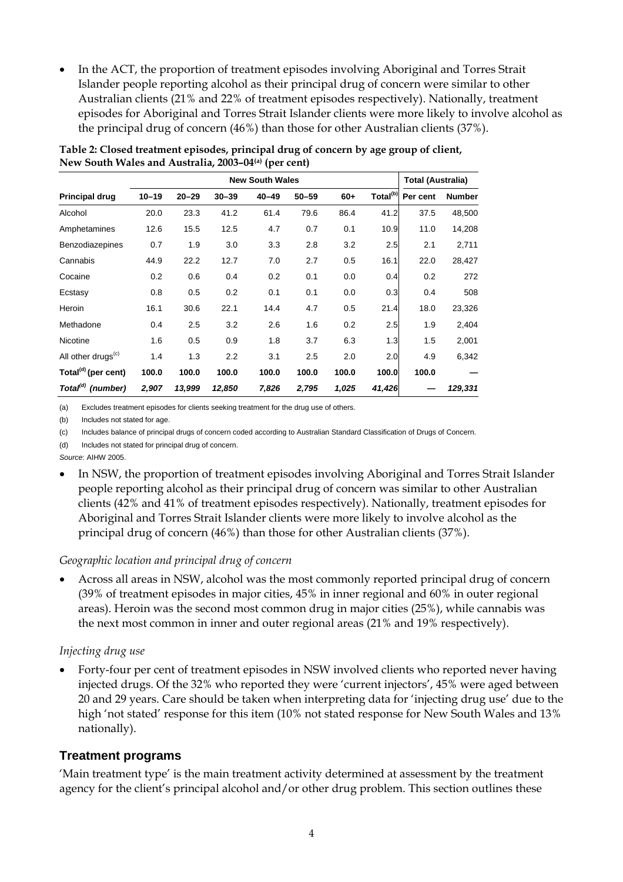• In the ACT, the proportion of treatment episodes involving Aboriginal and Torres Strait Islander people reporting alcohol as their principal drug of concern were similar to other Australian clients (21% and 22% of treatment episodes respectively). Nationally, treatment episodes for Aboriginal and Torres Strait Islander clients were more likely to involve alcohol as the principal drug of concern (46%) than those for other Australian clients (37%).

|                                 | <b>New South Wales</b> |           |           |           |           |       | <b>Total (Australia)</b> |          |               |
|---------------------------------|------------------------|-----------|-----------|-----------|-----------|-------|--------------------------|----------|---------------|
| <b>Principal drug</b>           | $10 - 19$              | $20 - 29$ | $30 - 39$ | $40 - 49$ | $50 - 59$ | $60+$ | Total <sup>(b)</sup>     | Per cent | <b>Number</b> |
| Alcohol                         | 20.0                   | 23.3      | 41.2      | 61.4      | 79.6      | 86.4  | 41.2                     | 37.5     | 48,500        |
| Amphetamines                    | 12.6                   | 15.5      | 12.5      | 4.7       | 0.7       | 0.1   | 10.9                     | 11.0     | 14,208        |
| <b>Benzodiazepines</b>          | 0.7                    | 1.9       | 3.0       | 3.3       | 2.8       | 3.2   | 2.5                      | 2.1      | 2,711         |
| Cannabis                        | 44.9                   | 22.2      | 12.7      | 7.0       | 2.7       | 0.5   | 16.1                     | 22.0     | 28,427        |
| Cocaine                         | 0.2                    | 0.6       | 0.4       | 0.2       | 0.1       | 0.0   | 0.4                      | 0.2      | 272           |
| Ecstasy                         | 0.8                    | 0.5       | 0.2       | 0.1       | 0.1       | 0.0   | 0.3                      | 0.4      | 508           |
| Heroin                          | 16.1                   | 30.6      | 22.1      | 14.4      | 4.7       | 0.5   | 21.4                     | 18.0     | 23,326        |
| Methadone                       | 0.4                    | 2.5       | 3.2       | 2.6       | 1.6       | 0.2   | 2.5                      | 1.9      | 2,404         |
| Nicotine                        | 1.6                    | 0.5       | 0.9       | 1.8       | 3.7       | 6.3   | 1.3                      | 1.5      | 2,001         |
| All other drugs <sup>(c)</sup>  | 1.4                    | 1.3       | 2.2       | 3.1       | 2.5       | 2.0   | 2.0                      | 4.9      | 6,342         |
| Total <sup>(d)</sup> (per cent) | 100.0                  | 100.0     | 100.0     | 100.0     | 100.0     | 100.0 | 100.0                    | 100.0    |               |
| Total <sup>(d)</sup> (number)   | 2,907                  | 13,999    | 12,850    | 7,826     | 2,795     | 1,025 | 41,426                   |          | 129,331       |

**Table 2: Closed treatment episodes, principal drug of concern by age group of client, New South Wales and Australia, 2003–04(a) (per cent)** 

(a) Excludes treatment episodes for clients seeking treatment for the drug use of others.

(b) Includes not stated for age.

(c) Includes balance of principal drugs of concern coded according to Australian Standard Classification of Drugs of Concern.

(d) Includes not stated for principal drug of concern.

*Source*: AIHW 2005.

• In NSW, the proportion of treatment episodes involving Aboriginal and Torres Strait Islander people reporting alcohol as their principal drug of concern was similar to other Australian clients (42% and 41% of treatment episodes respectively). Nationally, treatment episodes for Aboriginal and Torres Strait Islander clients were more likely to involve alcohol as the principal drug of concern (46%) than those for other Australian clients (37%).

#### *Geographic location and principal drug of concern*

• Across all areas in NSW, alcohol was the most commonly reported principal drug of concern (39% of treatment episodes in major cities, 45% in inner regional and 60% in outer regional areas). Heroin was the second most common drug in major cities (25%), while cannabis was the next most common in inner and outer regional areas (21% and 19% respectively).

#### *Injecting drug use*

• Forty-four per cent of treatment episodes in NSW involved clients who reported never having injected drugs. Of the 32% who reported they were 'current injectors', 45% were aged between 20 and 29 years. Care should be taken when interpreting data for 'injecting drug use' due to the high 'not stated' response for this item (10% not stated response for New South Wales and 13% nationally).

# **Treatment programs**

'Main treatment type' is the main treatment activity determined at assessment by the treatment agency for the client's principal alcohol and/or other drug problem. This section outlines these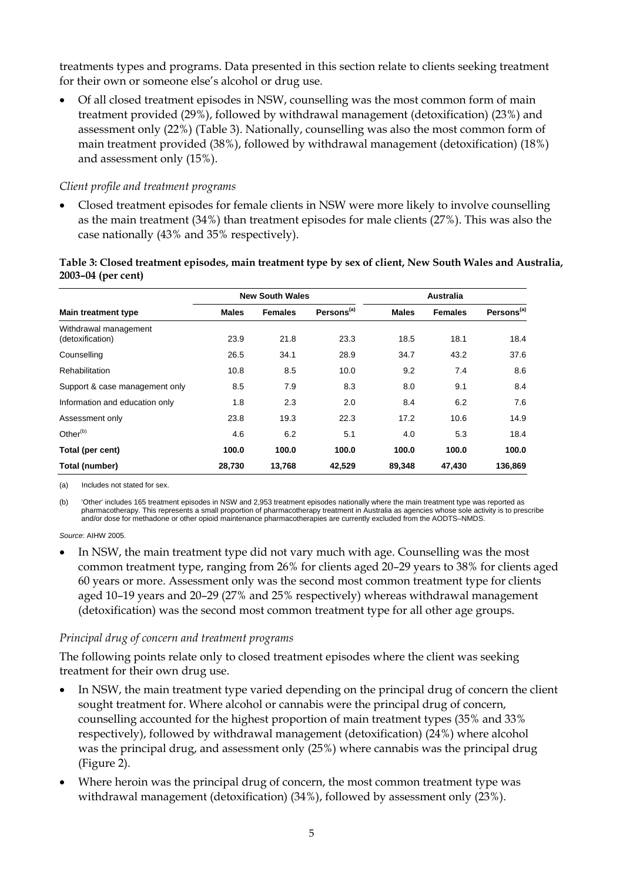treatments types and programs. Data presented in this section relate to clients seeking treatment for their own or someone else's alcohol or drug use.

• Of all closed treatment episodes in NSW, counselling was the most common form of main treatment provided (29%), followed by withdrawal management (detoxification) (23%) and assessment only (22%) (Table 3). Nationally, counselling was also the most common form of main treatment provided (38%), followed by withdrawal management (detoxification) (18%) and assessment only (15%).

#### *Client profile and treatment programs*

• Closed treatment episodes for female clients in NSW were more likely to involve counselling as the main treatment (34%) than treatment episodes for male clients (27%). This was also the case nationally (43% and 35% respectively).

#### **Table 3: Closed treatment episodes, main treatment type by sex of client, New South Wales and Australia, 2003–04 (per cent)**

|                                           |        | <b>New South Wales</b> |                        | <b>Australia</b> |                |                        |
|-------------------------------------------|--------|------------------------|------------------------|------------------|----------------|------------------------|
| <b>Main treatment type</b>                | Males  | <b>Females</b>         | Persons <sup>(a)</sup> | <b>Males</b>     | <b>Females</b> | Persons <sup>(a)</sup> |
| Withdrawal management<br>(detoxification) | 23.9   | 21.8                   | 23.3                   | 18.5             | 18.1           | 18.4                   |
| Counselling                               | 26.5   | 34.1                   | 28.9                   | 34.7             | 43.2           | 37.6                   |
| Rehabilitation                            | 10.8   | 8.5                    | 10.0                   | 9.2              | 7.4            | 8.6                    |
| Support & case management only            | 8.5    | 7.9                    | 8.3                    | 8.0              | 9.1            | 8.4                    |
| Information and education only            | 1.8    | 2.3                    | 2.0                    | 8.4              | 6.2            | 7.6                    |
| Assessment only                           | 23.8   | 19.3                   | 22.3                   | 17.2             | 10.6           | 14.9                   |
| Other <sup>(b)</sup>                      | 4.6    | 6.2                    | 5.1                    | 4.0              | 5.3            | 18.4                   |
| Total (per cent)                          | 100.0  | 100.0                  | 100.0                  | 100.0            | 100.0          | 100.0                  |
| Total (number)                            | 28,730 | 13,768                 | 42,529                 | 89,348           | 47,430         | 136,869                |

(a) Includes not stated for sex.

(b) 'Other' includes 165 treatment episodes in NSW and 2,953 treatment episodes nationally where the main treatment type was reported as pharmacotherapy. This represents a small proportion of pharmacotherapy treatment in Australia as agencies whose sole activity is to prescribe and/or dose for methadone or other opioid maintenance pharmacotherapies are currently excluded from the AODTS–NMDS.

*Source*: AIHW 2005.

In NSW, the main treatment type did not vary much with age. Counselling was the most common treatment type, ranging from 26% for clients aged 20–29 years to 38% for clients aged 60 years or more. Assessment only was the second most common treatment type for clients aged 10–19 years and 20–29 (27% and 25% respectively) whereas withdrawal management (detoxification) was the second most common treatment type for all other age groups.

# *Principal drug of concern and treatment programs*

The following points relate only to closed treatment episodes where the client was seeking treatment for their own drug use.

- In NSW, the main treatment type varied depending on the principal drug of concern the client sought treatment for. Where alcohol or cannabis were the principal drug of concern, counselling accounted for the highest proportion of main treatment types (35% and 33% respectively), followed by withdrawal management (detoxification) (24%) where alcohol was the principal drug, and assessment only (25%) where cannabis was the principal drug (Figure 2).
- Where heroin was the principal drug of concern, the most common treatment type was withdrawal management (detoxification) (34%), followed by assessment only (23%).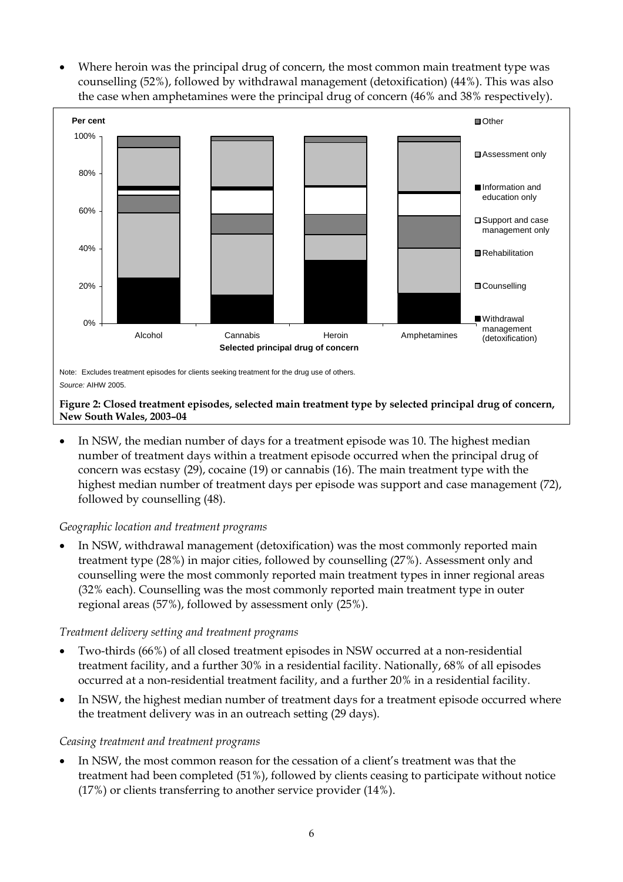Where heroin was the principal drug of concern, the most common main treatment type was counselling (52%), followed by withdrawal management (detoxification) (44%). This was also the case when amphetamines were the principal drug of concern (46% and 38% respectively).



#### *Source:* AIHW 2005.

#### **Figure 2: Closed treatment episodes, selected main treatment type by selected principal drug of concern, New South Wales, 2003–04**

In NSW, the median number of days for a treatment episode was 10. The highest median number of treatment days within a treatment episode occurred when the principal drug of concern was ecstasy (29), cocaine (19) or cannabis (16). The main treatment type with the highest median number of treatment days per episode was support and case management (72), followed by counselling (48).

#### *Geographic location and treatment programs*

• In NSW, withdrawal management (detoxification) was the most commonly reported main treatment type (28%) in major cities, followed by counselling (27%). Assessment only and counselling were the most commonly reported main treatment types in inner regional areas (32% each). Counselling was the most commonly reported main treatment type in outer regional areas (57%), followed by assessment only (25%).

#### *Treatment delivery setting and treatment programs*

- Two-thirds (66%) of all closed treatment episodes in NSW occurred at a non-residential treatment facility, and a further 30% in a residential facility. Nationally, 68% of all episodes occurred at a non-residential treatment facility, and a further 20% in a residential facility.
- In NSW, the highest median number of treatment days for a treatment episode occurred where the treatment delivery was in an outreach setting (29 days).

#### *Ceasing treatment and treatment programs*

In NSW, the most common reason for the cessation of a client's treatment was that the treatment had been completed (51%), followed by clients ceasing to participate without notice (17%) or clients transferring to another service provider (14%).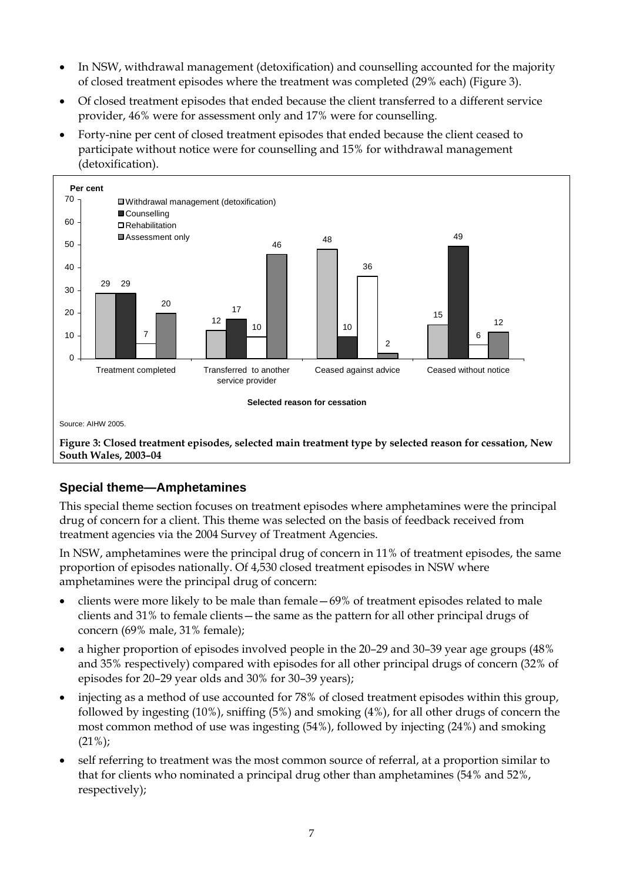- In NSW, withdrawal management (detoxification) and counselling accounted for the majority of closed treatment episodes where the treatment was completed (29% each) (Figure 3).
- Of closed treatment episodes that ended because the client transferred to a different service provider, 46% were for assessment only and 17% were for counselling.
- Forty-nine per cent of closed treatment episodes that ended because the client ceased to participate without notice were for counselling and 15% for withdrawal management (detoxification).



# **Special theme—Amphetamines**

This special theme section focuses on treatment episodes where amphetamines were the principal drug of concern for a client. This theme was selected on the basis of feedback received from treatment agencies via the 2004 Survey of Treatment Agencies.

In NSW, amphetamines were the principal drug of concern in 11% of treatment episodes, the same proportion of episodes nationally. Of 4,530 closed treatment episodes in NSW where amphetamines were the principal drug of concern:

- clients were more likely to be male than female—69% of treatment episodes related to male clients and 31% to female clients—the same as the pattern for all other principal drugs of concern (69% male, 31% female);
- a higher proportion of episodes involved people in the 20–29 and 30–39 year age groups (48% and 35% respectively) compared with episodes for all other principal drugs of concern (32% of episodes for 20–29 year olds and 30% for 30–39 years);
- injecting as a method of use accounted for 78% of closed treatment episodes within this group, followed by ingesting (10%), sniffing (5%) and smoking (4%), for all other drugs of concern the most common method of use was ingesting (54%), followed by injecting (24%) and smoking  $(21\%)$ ;
- self referring to treatment was the most common source of referral, at a proportion similar to that for clients who nominated a principal drug other than amphetamines (54% and 52%, respectively);